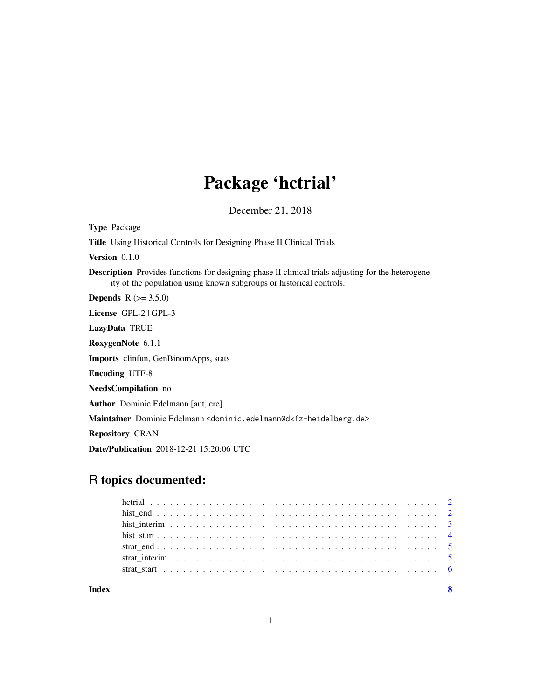## Package 'hctrial'

December 21, 2018

Type Package Title Using Historical Controls for Designing Phase II Clinical Trials Version 0.1.0 Description Provides functions for designing phase II clinical trials adjusting for the heterogeneity of the population using known subgroups or historical controls. **Depends** R  $(>= 3.5.0)$ License GPL-2 | GPL-3 LazyData TRUE RoxygenNote 6.1.1 Imports clinfun, GenBinomApps, stats Encoding UTF-8 NeedsCompilation no Author Dominic Edelmann [aut, cre] Maintainer Dominic Edelmann <dominic.edelmann@dkfz-heidelberg.de> Repository CRAN Date/Publication 2018-12-21 15:20:06 UTC

### R topics documented:

1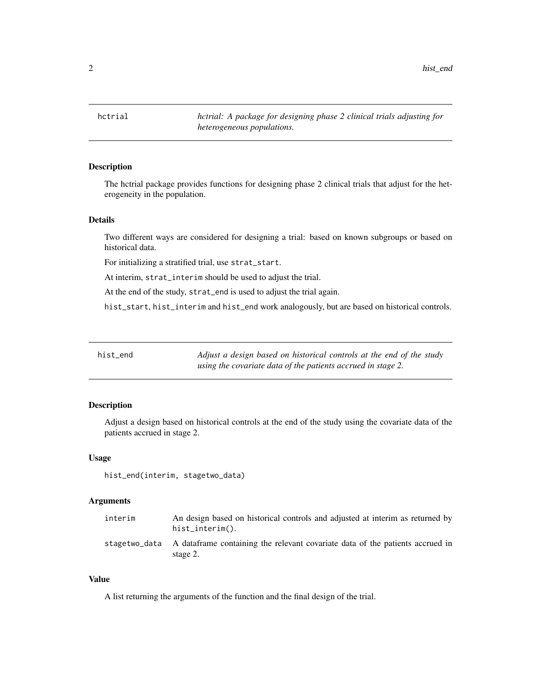<span id="page-1-0"></span>2 hist\_end the number of the state of the state of the state of the state of the state of the state of the state of the state of the state of the state of the state of the state of the state of the state of the state of th

#### Description

The hctrial package provides functions for designing phase 2 clinical trials that adjust for the heterogeneity in the population.

#### Details

Two different ways are considered for designing a trial: based on known subgroups or based on historical data.

For initializing a stratified trial, use strat\_start.

At interim, strat\_interim should be used to adjust the trial.

At the end of the study, strat\_end is used to adjust the trial again.

hist\_start, hist\_interim and hist\_end work analogously, but are based on historical controls.

| hist_end | Adjust a design based on historical controls at the end of the study |
|----------|----------------------------------------------------------------------|
|          | using the covariate data of the patients accrued in stage 2.         |

#### Description

Adjust a design based on historical controls at the end of the study using the covariate data of the patients accrued in stage 2.

#### Usage

hist\_end(interim, stagetwo\_data)

#### Arguments

| interim | An design based on historical controls and adjusted at interim as returned by<br>hist interim().         |
|---------|----------------------------------------------------------------------------------------------------------|
|         | stagetwo_data A data frame containing the relevant covariate data of the patients accrued in<br>stage 2. |

#### Value

A list returning the arguments of the function and the final design of the trial.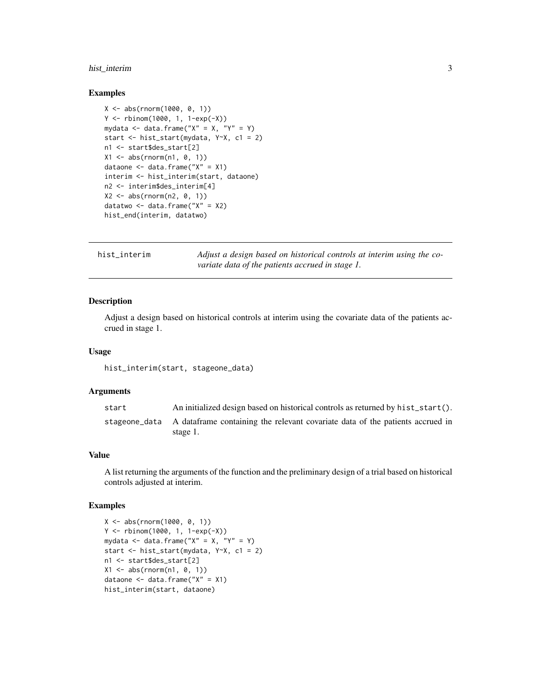#### <span id="page-2-0"></span>hist\_interim 3

#### Examples

```
X <- abs(rnorm(1000, 0, 1))
Y <- rbinom(1000, 1, 1-exp(-X))
mydata \leq data.frame("X" = X, "Y" = Y)
start <- hist_start(mydata, Y~X, c1 = 2)
n1 <- start$des_start[2]
X1 \leftarrow abs(rnorm(n1, 0, 1))dataone <- data.frame("X" = X1)
interim <- hist_interim(start, dataone)
n2 <- interim$des_interim[4]
X2 \le - abs(rnorm(n2, 0, 1))
datatwo \leq data.frame("X" = X2)
hist_end(interim, datatwo)
```

| hist_interim | Adjust a design based on historical controls at interim using the co- |
|--------------|-----------------------------------------------------------------------|
|              | variate data of the patients accrued in stage 1.                      |

#### Description

Adjust a design based on historical controls at interim using the covariate data of the patients accrued in stage 1.

#### Usage

hist\_interim(start, stageone\_data)

#### **Arguments**

| start | An initialized design based on historical controls as returned by hist_start().                         |
|-------|---------------------------------------------------------------------------------------------------------|
|       | stageone_data A dataframe containing the relevant covariate data of the patients accrued in<br>stage 1. |

#### Value

A list returning the arguments of the function and the preliminary design of a trial based on historical controls adjusted at interim.

#### Examples

```
X <- abs(rnorm(1000, 0, 1))
Y <- rbinom(1000, 1, 1-exp(-X))
mydata \leq data.frame("X" = X, "Y" = Y)
start <- hist_start(mydata, Y~X, c1 = 2)
n1 <- start$des_start[2]
X1 \leftarrow abs(rnorm(n1, 0, 1))dataone \leq data.frame("X" = X1)
hist_interim(start, dataone)
```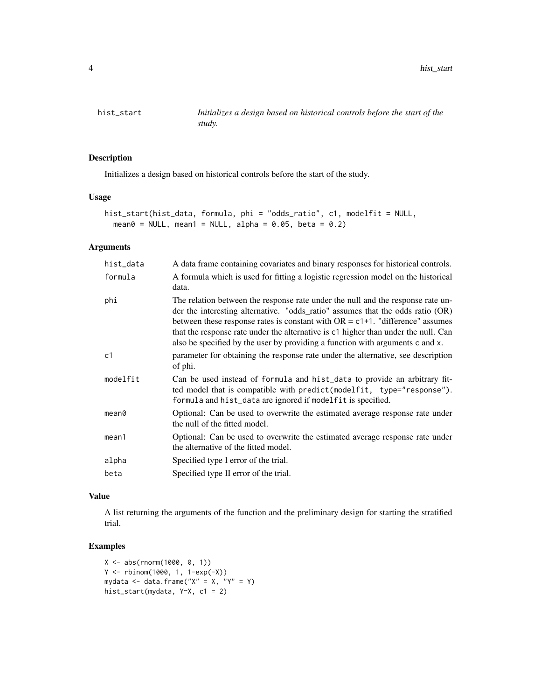<span id="page-3-0"></span>

#### Description

Initializes a design based on historical controls before the start of the study.

#### Usage

```
hist_start(hist_data, formula, phi = "odds_ratio", c1, modelfit = NULL,
 mean0 = NULL, mean1 = NULL, alpha = 0.05, beta = 0.2)
```
#### Arguments

| hist_data         | A data frame containing covariates and binary responses for historical controls.                                                                                                                                                                                                                                                                                                                                             |
|-------------------|------------------------------------------------------------------------------------------------------------------------------------------------------------------------------------------------------------------------------------------------------------------------------------------------------------------------------------------------------------------------------------------------------------------------------|
| formula           | A formula which is used for fitting a logistic regression model on the historical<br>data.                                                                                                                                                                                                                                                                                                                                   |
| phi               | The relation between the response rate under the null and the response rate un-<br>der the interesting alternative. "odds_ratio" assumes that the odds ratio (OR)<br>between these response rates is constant with $OR = c1+1$ . "difference" assumes<br>that the response rate under the alternative is c1 higher than under the null. Can<br>also be specified by the user by providing a function with arguments c and x. |
| c <sub>1</sub>    | parameter for obtaining the response rate under the alternative, see description<br>of phi.                                                                                                                                                                                                                                                                                                                                  |
| modelfit          | Can be used instead of formula and hist_data to provide an arbitrary fit-<br>ted model that is compatible with predict(modelfit, type="response").<br>formula and hist_data are ignored if modelfit is specified.                                                                                                                                                                                                            |
| mean <sub>0</sub> | Optional: Can be used to overwrite the estimated average response rate under<br>the null of the fitted model.                                                                                                                                                                                                                                                                                                                |
| mean1             | Optional: Can be used to overwrite the estimated average response rate under<br>the alternative of the fitted model.                                                                                                                                                                                                                                                                                                         |
| alpha             | Specified type I error of the trial.                                                                                                                                                                                                                                                                                                                                                                                         |
| beta              | Specified type II error of the trial.                                                                                                                                                                                                                                                                                                                                                                                        |
|                   |                                                                                                                                                                                                                                                                                                                                                                                                                              |

#### Value

A list returning the arguments of the function and the preliminary design for starting the stratified trial.

#### Examples

```
X <- abs(rnorm(1000, 0, 1))
Y <- rbinom(1000, 1, 1-exp(-X))
mydata <- data.frame("X'' = X, "Y'' = Y)
hist_start(mydata, Y~X, c1 = 2)
```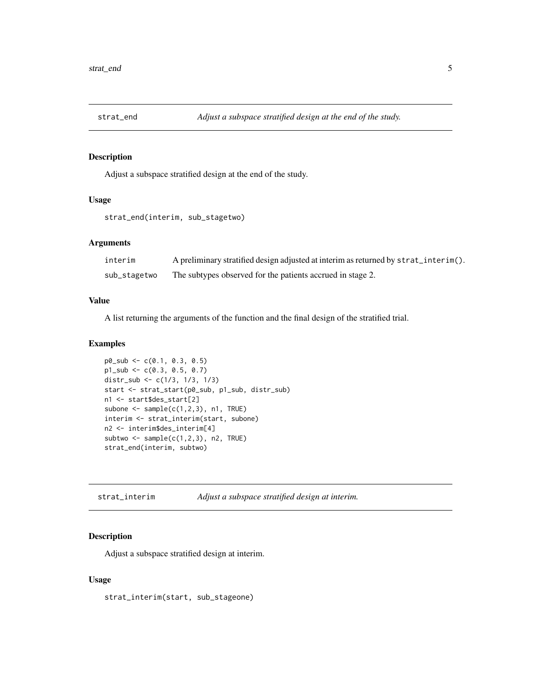<span id="page-4-0"></span>

#### Description

Adjust a subspace stratified design at the end of the study.

#### Usage

```
strat_end(interim, sub_stagetwo)
```
#### Arguments

| interim      | A preliminary stratified design adjusted at interim as returned by strat_interim(). |
|--------------|-------------------------------------------------------------------------------------|
| sub_stagetwo | The subtypes observed for the patients accrued in stage 2.                          |

#### Value

A list returning the arguments of the function and the final design of the stratified trial.

#### Examples

```
p0_sub <- c(0.1, 0.3, 0.5)
p1_sub <- c(0.3, 0.5, 0.7)
distr_sub <- c(1/3, 1/3, 1/3)
start <- strat_start(p0_sub, p1_sub, distr_sub)
n1 <- start$des_start[2]
subone \leq sample(c(1,2,3), n1, TRUE)interim <- strat_interim(start, subone)
n2 <- interim$des_interim[4]
subtwo \leq sample(c(1,2,3), n2, TRUE)
strat_end(interim, subtwo)
```
strat\_interim *Adjust a subspace stratified design at interim.*

#### Description

Adjust a subspace stratified design at interim.

#### Usage

strat\_interim(start, sub\_stageone)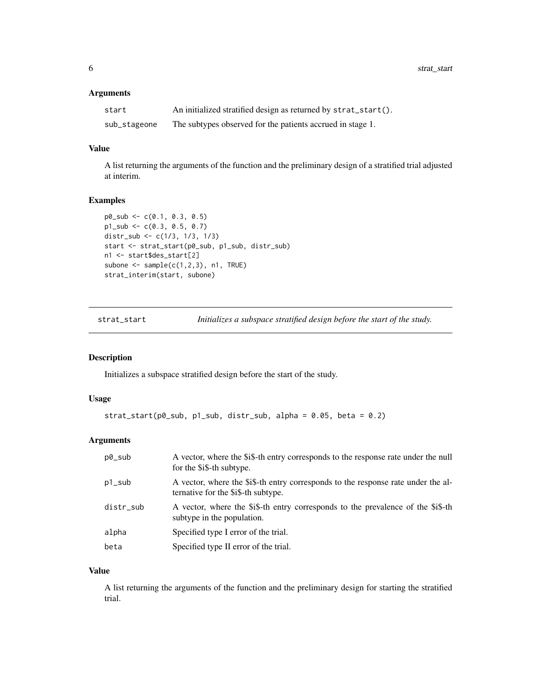#### <span id="page-5-0"></span>Arguments

| start        | An initialized stratified design as returned by strat_start(). |
|--------------|----------------------------------------------------------------|
| sub_stageone | The subtypes observed for the patients accrued in stage 1.     |

#### Value

A list returning the arguments of the function and the preliminary design of a stratified trial adjusted at interim.

#### Examples

```
p0_sub <- c(0.1, 0.3, 0.5)
p1_sub <- c(0.3, 0.5, 0.7)
distr_sub <- c(1/3, 1/3, 1/3)
start <- strat_start(p0_sub, p1_sub, distr_sub)
n1 <- start$des_start[2]
subone \leq sample(c(1,2,3), n1, TRUE)strat_interim(start, subone)
```
strat\_start *Initializes a subspace stratified design before the start of the study.*

#### Description

Initializes a subspace stratified design before the start of the study.

#### Usage

```
strat\_start(p0\_sub, p1\_sub, distr\_sub, alpha = 0.05, beta = 0.2)
```
#### Arguments

| p0_sub    | A vector, where the \$i\$-th entry corresponds to the response rate under the null<br>for the \$i\$-th subtype.          |
|-----------|--------------------------------------------------------------------------------------------------------------------------|
| p1_sub    | A vector, where the \$i\$-th entry corresponds to the response rate under the al-<br>ternative for the \$i\$-th subtype. |
| distr_sub | A vector, where the \$i\$-th entry corresponds to the prevalence of the \$i\$-th<br>subtype in the population.           |
| alpha     | Specified type I error of the trial.                                                                                     |
| beta      | Specified type II error of the trial.                                                                                    |

#### Value

A list returning the arguments of the function and the preliminary design for starting the stratified trial.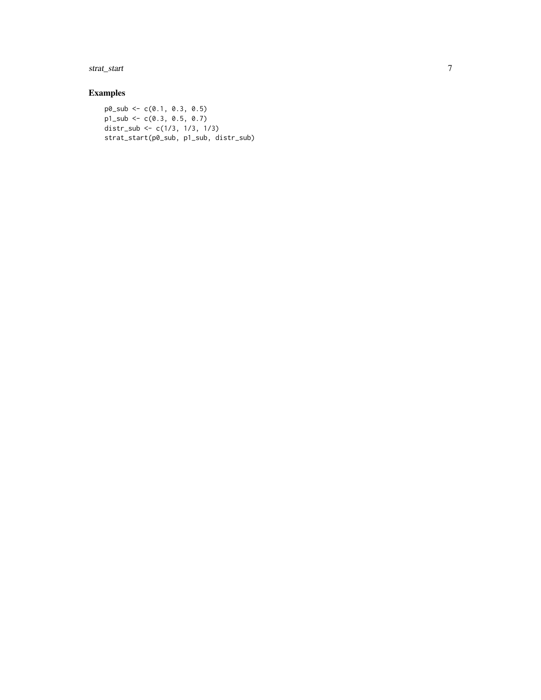strat\_start

#### Examples

 $p0$ \_sub <- c(0.1, 0.3, 0.5)  $p1$ \_sub <- c(0.3, 0.5, 0.7) distr\_sub <- c(1/3, 1/3, 1/3) strat\_start(p0\_sub, p1\_sub, distr\_sub)